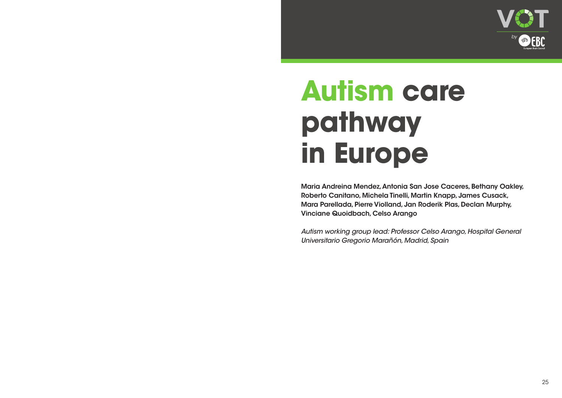## **Autism care pathway in Europe**

Maria Andreina Mendez, Antonia San Jose Caceres, Bethany Oakley, Roberto Canitano, Michela Tinelli, Martin Knapp, James Cusack, Mara Parellada, Pierre Violland, Jan Roderik Plas, Declan Murphy, Vinciane Quoidbach, Celso Arango

*Autism working group lead: Professor Celso Arango, Hospital General Universitario Gregorio Marañón, Madrid, Spain*





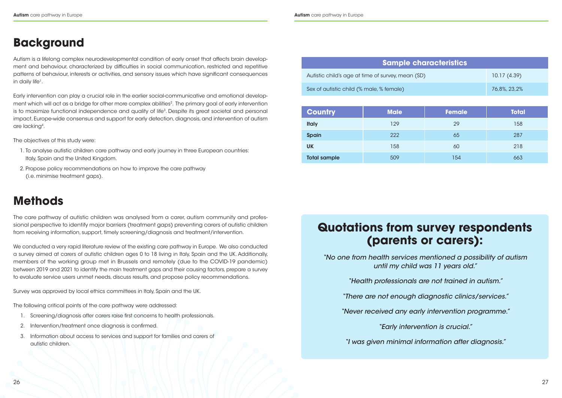Autism is a lifelong complex neurodevelopmental condition of early onset that affects brain development and behaviour, characterized by difficulties in social communication, restricted and repetitive patterns of behaviour, interests or activities, and sensory issues which have significant consequences in daily life<sup>1</sup>.

## **Background**

Early intervention can play a crucial role in the earlier social-communicative and emotional development which will act as a bridge for other more complex abilities<sup>2</sup>. The primary goal of early intervention is to maximize functional independence and quality of life<sup>3</sup>. Despite its great societal and personal impact, Europe-wide consensus and support for early detection, diagnosis, and intervention of autism are lacking4.

The objectives of this study were:

- 1. To analyse autistic children care pathway and early journey in three European countries: Italy, Spain and the United Kingdom.
- 2. Propose policy recommendations on how to improve the care pathway (i.e. minimise treatment gaps).

## **Methods**

The care pathway of autistic children was analysed from a carer, autism community and professional perspective to identify major barriers (treatment gaps) preventing carers of autistic children from receiving information, support, timely screening/diagnosis and treatment/intervention.

We conducted a very rapid literature review of the existing care pathway in Europe. We also conducted a survey aimed at carers of autistic children ages 0 to 18 living in Italy, Spain and the UK. Additionally, members of the working group met in Brussels and remotely (due to the COVID-19 pandemic) between 2019 and 2021 to identify the main treatment gaps and their causing factors, prepare a survey to evaluate service users unmet needs, discuss results, and propose policy recommendations.

Survey was approved by local ethics committees in Italy, Spain and the UK.

The following critical points of the care pathway were addressed:

- 1. Screening/diagnosis after carers raise first concerns to health professionals.
- 2. Intervention/treatment once diagnosis is confirmed.
- 3. Information about access to services and support for families and carers of autistic children.

## **Quotations from survey respondents (parents or carers):**

*"No one from health services mentioned a possibility of autism until my child was 11 years old."*

*"Health professionals are not trained in autism."*

*"There are not enough diagnostic clinics/services."*

*"Never received any early intervention programme."*

*"Early intervention is crucial."*

*"I was given minimal information after diagnosis."*

### **Sample characteristics**

Autistic child's age at time of survey, mean (SD) 10.17 (4.39)

Sex of autistic child (% male, % female) 36,8%, 23,2%

| <b>Country</b>      | <b>Male</b> | <b>Female</b> | <b>Total</b> |
|---------------------|-------------|---------------|--------------|
| <b>Italy</b>        | 129         | 29            | 158          |
| <b>Spain</b>        | 222         | 65            | 287          |
| <b>UK</b>           | 158         | 60            | 218          |
| <b>Total sample</b> | 509         | 154           | 663          |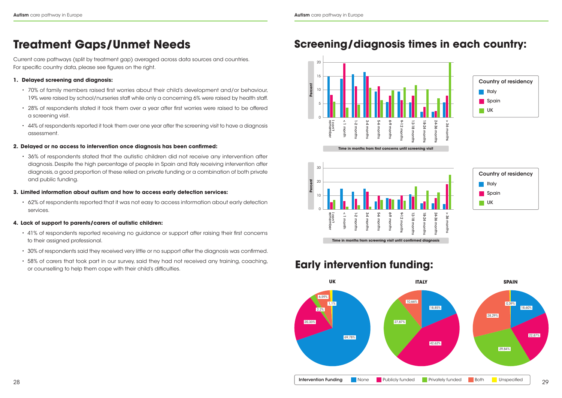## **Treatment Gaps/Unmet Needs**

Current care pathways (split by treatment gap) averaged across data sources and countries. For specific country data, please see figures on the right.

- **1. Delayed screening and diagnosis:**
	- 70% of family members raised first worries about their child's development and/or behaviour, 19% were raised by school/nurseries staff while only a concerning 6% were raised by health staff.
	- 28% of respondents stated it took them over a year after first worries were raised to be offered a screening visit.
	- 44% of respondents reported it took them over one year after the screening visit to have a diagnosis assessment.

### **2. Delayed or no access to intervention once diagnosis has been confirmed:**

- 41% of respondents reported receiving no guidance or support after raising their first concerns to their assigned professional.
- 30% of respondents said they received very little or no support after the diagnosis was confirmed.
- 58% of carers that took part in our survey, said they had not received any training, coaching, or counselling to help them cope with their child's difficulties.

• 36% of respondents stated that the autistic children did not receive any intervention after diagnosis. Despite the high percentage of people in Spain and Italy receiving intervention after diagnosis, a good proportion of these relied on private funding or a combination of both private and public funding.

### **3. Limited information about autism and how to access early detection services:**

• 62% of respondents reported that it was not easy to access information about early detection services.



### **4. Lack of support to parents/carers of autistic children:**

## **Screening/diagnosis times in each country:**







## **Early intervention funding:**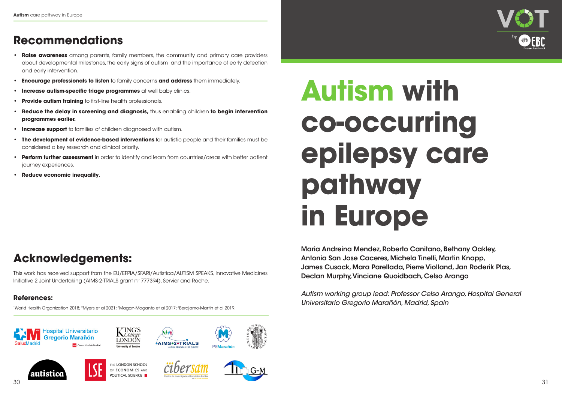## **Acknowledgements:**

This work has received support from the EU/EFPIA/SFARI/Autistica/AUTISM SPEAKS, Innovative Medicines Initiative 2 Joint Undertaking (AIMS-2-TRIALS grant n° 777394), Servier and Roche.

### **References:**

1World Health Organization 2018; 2Myers et al 2021; 3Magan-Maganto et al 2017; 4Berajamo-Martin et al 2019.



## **Recommendations**

- **• Raise awareness** among parents, family members, the community and primary care providers about developmental milestones, the early signs of autism and the importance of early detection and early intervention.
- **• Encourage professionals to listen** to family concerns **and address** them immediately.
- **Increase autism-specific triage programmes** at well baby clinics.
- **Provide autism training** to first-line health professionals.
- **• Reduce the delay in screening and diagnosis,** thus enabling children **to begin intervention programmes earlier.**
- **Increase support** to families of children diagnosed with autism.
- **• The development of evidence-based interventions** for autistic people and their families must be considered a key research and clinical priority.
- **Perform further assessment** in order to identify and learn from countries/areas with better patient journey experiences.
- **• Reduce economic inequality**.

# **Autism with co-occurring epilepsy care pathway in Europe**

Maria Andreina Mendez, Roberto Canitano, Bethany Oakley, Antonia San Jose Caceres, Michela Tinelli, Martin Knapp, James Cusack, Mara Parellada, Pierre Violland, Jan Roderik Plas, Declan Murphy, Vinciane Quoidbach, Celso Arango

*Autism working group lead: Professor Celso Arango, Hospital General Universitario Gregorio Marañón, Madrid, Spain*



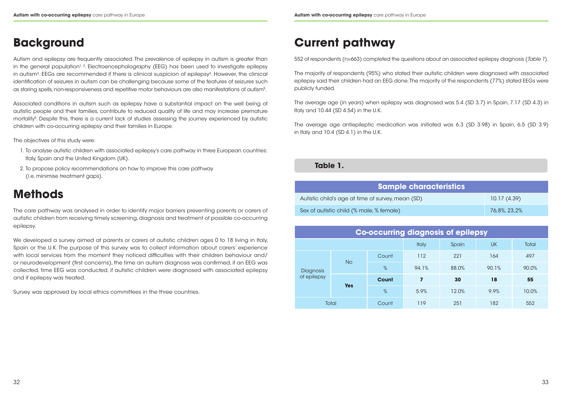Autism and epilepsy are frequently associated. The prevalence of epilepsy in autism is greater than in the general population<sup>1, 2</sup>. Electroencephalography (EEG) has been used to investigate epilepsy in autism<sup>3</sup>. EEGs are recommended if there is clinical suspicion of epilepsy<sup>4</sup>. However, the clinical identification of seizures in autism can be challenging because some of the features of seizures such as staring spells, non-responsiveness and repetitive motor behaviours are also manifestations of autism<sup>5</sup>.

## **Background**

Associated conditions in autism such as epilepsy have a substantial impact on the well being of autistic people and their families, contribute to reduced quality of life and may increase premature mortality<sup>6</sup>. Despite this, there is a current lack of studies assessing the journey experienced by autistic children with co-occurring epilepsy and their families in Europe.

We developed a survey aimed at parents or carers of autistic children ages 0 to 18 living in Italy, Spain or the U.K. The purpose of this survey was to collect information about carers' experience with local services from the moment they noticed difficulties with their children behaviour and/ or neurodevelopment (first concerns), the time an autism diagnosis was confirmed, if an EEG was collected, time EEG was conducted, if autistic children were diagnosed with associated epilepsy and if epilepsy was treated.

The objectives of this study were:

- 1. To analyse autistic children with associated epilepsy's care pathway in three European countries: Italy, Spain and the United Kingdom (UK).
- 2. To propose policy recommendations on how to improve this care pathway (i.e. minimise treatment gaps).

## **Methods**

The care pathway was analysed in order to identify major barriers preventing parents or carers of autistic children from receiving timely screening, diagnosis and treatment of possible co-occurring epilepsy.

Survey was approved by local ethics committees in the three countries.

## **Current pathway**

552 of respondents (n=663) completed the questions about an associated epilepsy diagnosis (*Table 1*).

The majority of respondents (95%) who stated their autistic children were diagnosed with associated epilepsy said their children had an EEG done. The majority of the respondents (77%) stated EEGs were publicly funded.

The average age (in years) when epilepsy was diagnosed was 5.4 (SD 3.7) in Spain, 7.17 (SD 4.3) in Italy and 10.44 (SD 4.54) in the U.K.

The average age antiepileptic medication was initiated was 6.3 (SD 3.98) in Spain, 6.5 (SD 3.9) in Italy and 10.4 (SD 4.1) in the U.K.

| <b>Co-occurring diagnosis of epilepsy</b> |            |              |       |       |           |       |  |
|-------------------------------------------|------------|--------------|-------|-------|-----------|-------|--|
|                                           |            |              | Italy | Spain | <b>UK</b> | Total |  |
| Diagnosis<br>of epilepsy                  | <b>No</b>  | Count        | 112   | 221   | 164       | 497   |  |
|                                           |            | %            | 94.1% | 88.0% | 90.1%     | 90.0% |  |
|                                           | <b>Yes</b> | <b>Count</b> | 7     | 30    | 18        | 55    |  |
|                                           |            | %            | 5.9%  | 12.0% | 9.9%      | 10.0% |  |
|                                           | Total      | Count        | 119   | 251   | 182       | 552   |  |

| racteristics |              |  |  |  |
|--------------|--------------|--|--|--|
|              | 10.17(4.39)  |  |  |  |
|              | 76,8%, 23,2% |  |  |  |

### **Table 1.**

### **Sample cha**

Autistic child's age at time of survey, mean (SD)

Sex of autistic child (% male, % female)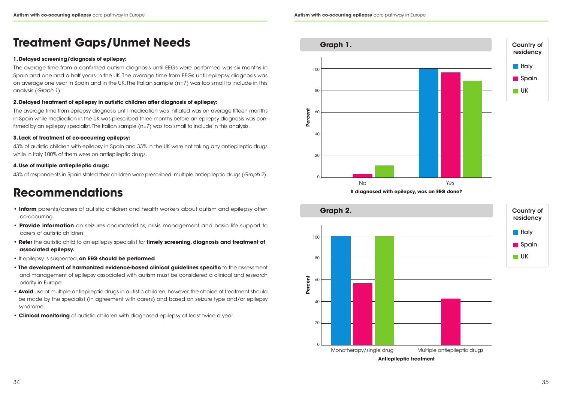## **Treatment Gaps/Unmet Needs**

### **1. Delayed screening/diagnosis of epilepsy:**

The average time from epilepsy diagnosis until medication was initiated was on average fifteen months in Spain while medication in the UK was prescribed three months before an epilepsy diagnosis was confirmed by an epilepsy specialist. The Italian sample (n=7) was too small to include in this analysis.

The average time from a confirmed autism diagnosis until EEGs were performed was six months in Spain and one and a half years in the UK. The average time from EEGs until epilepsy diagnosis was on average one year in Spain and in the UK. The Italian sample (n=7) was too small to include in this analysis (*Graph 1*).

### **2. Delayed treatment of epilepsy in autistic children after diagnosis of epilepsy:**

### **3. Lack of treatment of co-occurring epilepsy:**

43% of autistic children with epilepsy in Spain and 33% in the UK were not taking any antiepileptic drugs while in Italy 100% of them were on antiepileptic drugs.

### **4. Use of multiple antiepileptic drugs:**

43% of respondents in Spain stated their children were prescribed multiple antiepileptic drugs (*Graph 2*).

## **Recommendations**

- **• Inform** parents/carers of autistic children and health workers about autism and epilepsy often co-occurring.
- **• Provide information** on seizures characteristics, crisis management and basic life support to carers of autistic children.
- **Refer** the autistic child to an epilepsy specialist for **timely screening, diagnosis and treatment of associated epilepsy.**
- **•** If epilepsy is suspected, **an EEG should be performed**.
- **The development of harmonized evidence-based clinical auidelines specific** to the assessment and management of epilepsy associated with autism must be considered a clinical and research priority in Europe.
- **Avoid** use of multiple antiepileptic drugs in autistic children; however, the choice of treatment should be made by the specialist (in agreement with carers) and based on seizure type and/or epilepsy syndrome.
- **Clinical monitoring** of autistic children with diagnosed epilepsy at least twice a year.







**Antiepileptic treatment**